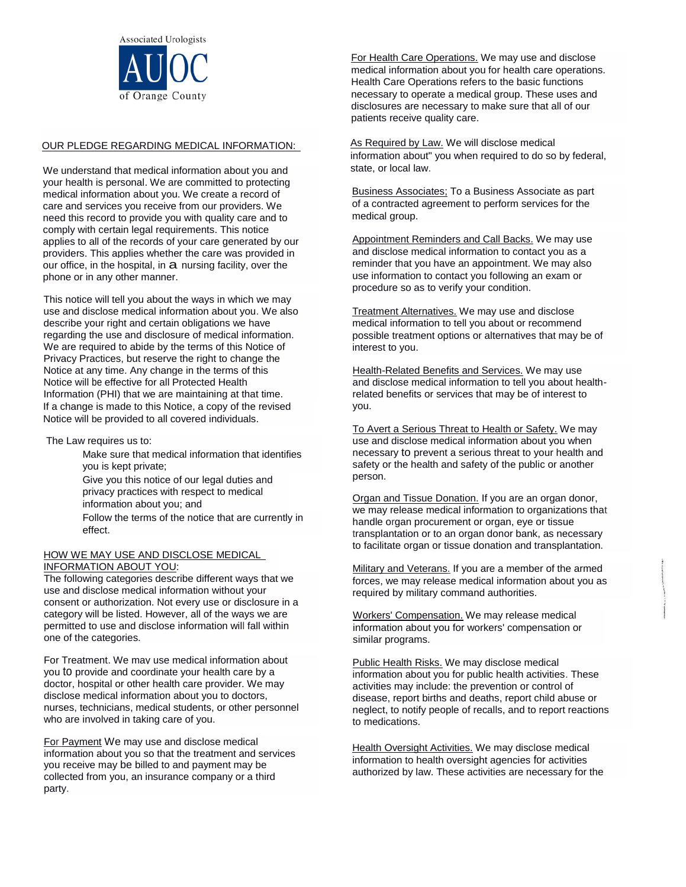

#### OUR PLEDGE REGARDING MEDICAL INFORMATION:

We understand that medical information about you and your health is personal. We are committed to protecting medical information about you. We create a record of care and services you receive from our providers. We need this record to provide you with quality care and to comply with certain legal requirements. This notice applies to all of the records of your care generated by our providers. This applies whether the care was provided in our office, in the hospital, in  $a$  nursing facility, over the phone or in any other manner.

This notice will tell you about the ways in which we may use and disclose medical information about you. We also describe your right and certain obligations we have regarding the use and disclosure of medical information. We are required to abide by the terms of this Notice of Privacy Practices, but reserve the right to change the Notice at any time. Any change in the terms of this Notice will be effective for all Protected Health Information (PHI) that we are maintaining at that time. If a change is made to this Notice, a copy of the revised Notice will be provided to all covered individuals.

The Law requires us to:

Make sure that medical information that identifies you is kept private; Give you this notice of our legal duties and privacy practices with respect to medical information about you; and Follow the terms of the notice that are currently in effect.

## HOW WE MAY USE AND DISCLOSE MEDICAL INFORMATION ABOUT YOU:

The following categories describe different ways that we use and disclose medical information without your consent or authorization. Not every use or disclosure in a category will be listed. However, all of the ways we are permitted to use and disclose information will fall within one of the categories.

For Treatment. We may use medical information about you to provide and coordinate your health care by a doctor, hospital or other health care provider. We may disclose medical information about you to doctors, nurses, technicians, medical students, or other personnel who are involved in taking care of you.

For Payment We may use and disclose medical information about you so that the treatment and services you receive may be billed to and payment may be collected from you, an insurance company or a third party.

For Health Care Operations. We may use and disclose medical information about you for health care operations. Health Care Operations refers to the basic functions necessary to operate a medical group. These uses and disclosures are necessary to make sure that all of our patients receive quality care.

As Required by Law. We will disclose medical information about" you when required to do so by federal, state, or local law.

Business Associates; To a Business Associate as part of a contracted agreement to perform services for the medical group.

Appointment Reminders and Call Backs. We may use and disclose medical information to contact you as a reminder that you have an appointment. We may also use information to contact you following an exam or procedure so as to verify your condition.

Treatment Alternatives. We may use and disclose medical information to tell you about or recommend possible treatment options or alternatives that may be of interest to you.

Health-Related Benefits and Services. We may use and disclose medical information to tell you about healthrelated benefits or services that may be of interest to you.

To Avert a Serious Threat to Health or Safety. We may use and disclose medical information about you when necessary to prevent a serious threat to your health and safety or the health and safety of the public or another person.

Organ and Tissue Donation. If you are an organ donor, we may release medical information to organizations that handle organ procurement or organ, eye or tissue transplantation or to an organ donor bank, as necessary to facilitate organ or tissue donation and transplantation.

Military and Veterans. If you are a member of the armed forces, we may release medical information about you as required by military command authorities.

Workers' Compensation. We may release medical information about you for workers' compensation or similar programs.

Public Health Risks. We may disclose medical information about you for public health activities. These activities may include: the prevention or control of disease, report births and deaths, report child abuse or neglect, to notify people of recalls, and to report reactions to medications.

Health Oversight Activities. We may disclose medical information to health oversight agencies for activities authorized by law. These activities are necessary for the